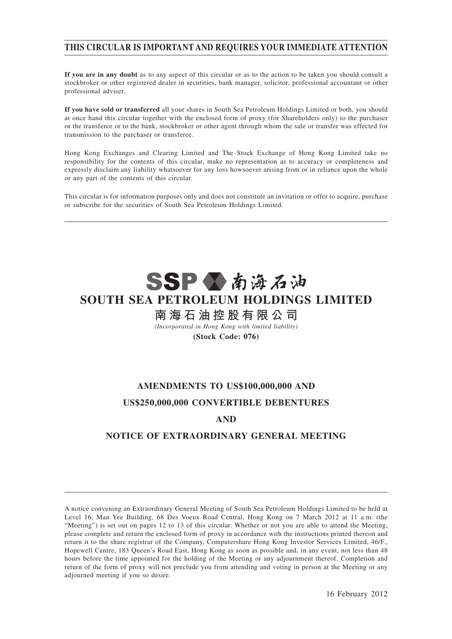# **THIS CIRCULAR IS IMPORTANT AND REQUIRES YOUR IMMEDIATE ATTENTION**

**If you are in any doubt** as to any aspect of this circular or as to the action to be taken you should consult a stockbroker or other registered dealer in securities, bank manager, solicitor, professional accountant or other professional adviser.

**If you have sold or transferred** all your shares in South Sea Petroleum Holdings Limited or both, you should at once hand this circular together with the enclosed form of proxy (for Shareholders only) to the purchaser or the transferee or to the bank, stockbroker or other agent through whom the sale or transfer was effected for transmission to the purchaser or transferee.

Hong Kong Exchanges and Clearing Limited and The Stock Exchange of Hong Kong Limited take no responsibility for the contents of this circular, make no representation as to accuracy or completeness and expressly disclaim any liability whatsoever for any loss howsoever arising from or in reliance upon the whole or any part of the contents of this circular.

This circular is for information purposes only and does not constitute an invitation or offer to acquire, purchase or subscribe for the securities of South Sea Petroleum Holdings Limited.

# SSPV南海石油 **SOUTH SEA PETROLEUM HOLDINGS LIMITED**

# **南 海 石 油 控 股 有 限 公 司**

*(Incorporated in Hong Kong with limited liability)* **(Stock Code: 076)**

# **AMENDMENTS TO US\$100,000,000 AND US\$250,000,000 CONVERTIBLE DEBENTURES**

# **AND**

# **NOTICE OF EXTRAORDINARY GENERAL MEETING**

A notice convening an Extraordinary General Meeting of South Sea Petroleum Holdings Limited to be held at Level 16, Man Yee Building, 68 Des Voeux Road Central, Hong Kong on 7 March 2012 at 11 a.m. (the "Meeting") is set out on pages 12 to 13 of this circular. Whether or not you are able to attend the Meeting, please complete and return the enclosed form of proxy in accordance with the instructions printed thereon and return it to the share registrar of the Company, Computershare Hong Kong Investor Services Limited, 46/F., Hopewell Centre, 183 Queen's Road East, Hong Kong as soon as possible and, in any event, not less than 48 hours before the time appointed for the holding of the Meeting or any adjournment thereof. Completion and return of the form of proxy will not preclude you from attending and voting in person at the Meeting or any adjourned meeting if you so desire.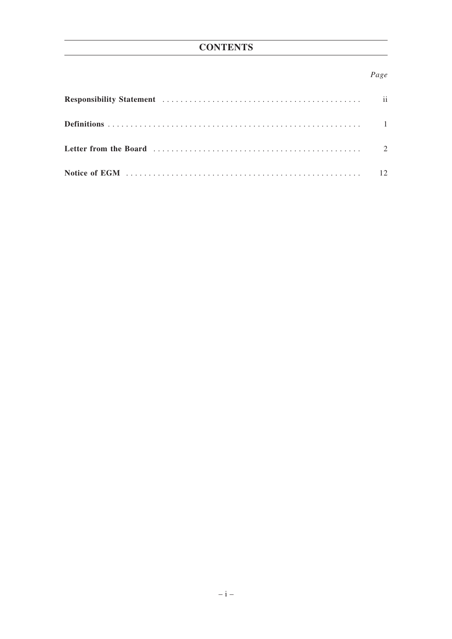# **CONTENTS**

# Page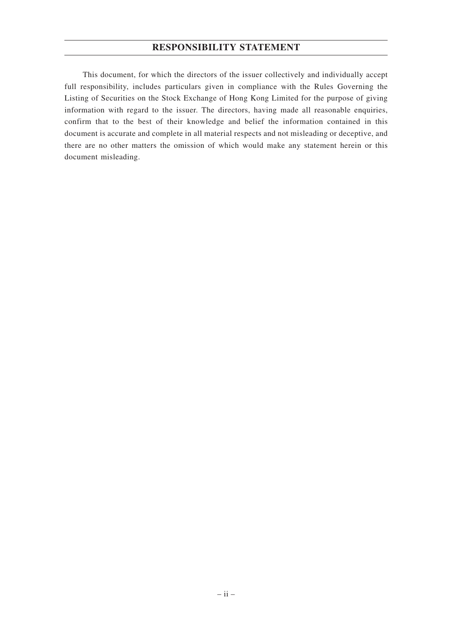# **RESPONSIBILITY STATEMENT**

This document, for which the directors of the issuer collectively and individually accept full responsibility, includes particulars given in compliance with the Rules Governing the Listing of Securities on the Stock Exchange of Hong Kong Limited for the purpose of giving information with regard to the issuer. The directors, having made all reasonable enquiries, confirm that to the best of their knowledge and belief the information contained in this document is accurate and complete in all material respects and not misleading or deceptive, and there are no other matters the omission of which would make any statement herein or this document misleading.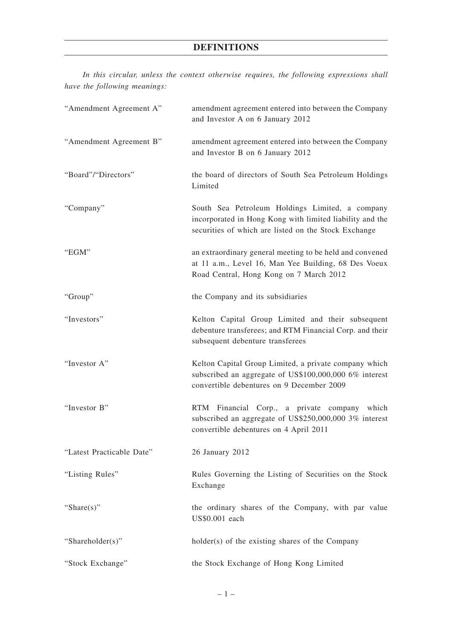# **DEFINITIONS**

*In this circular, unless the context otherwise requires, the following expressions shall have the following meanings:*

| "Amendment Agreement A"   | amendment agreement entered into between the Company<br>and Investor A on 6 January 2012                                                                            |
|---------------------------|---------------------------------------------------------------------------------------------------------------------------------------------------------------------|
| "Amendment Agreement B"   | amendment agreement entered into between the Company<br>and Investor B on 6 January 2012                                                                            |
| "Board"/"Directors"       | the board of directors of South Sea Petroleum Holdings<br>Limited                                                                                                   |
| "Company"                 | South Sea Petroleum Holdings Limited, a company<br>incorporated in Hong Kong with limited liability and the<br>securities of which are listed on the Stock Exchange |
| "EGM"                     | an extraordinary general meeting to be held and convened<br>at 11 a.m., Level 16, Man Yee Building, 68 Des Voeux<br>Road Central, Hong Kong on 7 March 2012         |
| "Group"                   | the Company and its subsidiaries                                                                                                                                    |
| "Investors"               | Kelton Capital Group Limited and their subsequent<br>debenture transferees; and RTM Financial Corp. and their<br>subsequent debenture transferees                   |
| "Investor A"              | Kelton Capital Group Limited, a private company which<br>subscribed an aggregate of US\$100,000,000 6% interest<br>convertible debentures on 9 December 2009        |
| "Investor B"              | RTM Financial Corp., a private company which<br>subscribed an aggregate of US\$250,000,000 3% interest<br>convertible debentures on 4 April 2011                    |
| "Latest Practicable Date" | 26 January 2012                                                                                                                                                     |
| "Listing Rules"           | Rules Governing the Listing of Securities on the Stock<br>Exchange                                                                                                  |
| "Share $(s)$ "            | the ordinary shares of the Company, with par value<br>US\$0.001 each                                                                                                |
| "Shareholder(s)"          | holder(s) of the existing shares of the Company                                                                                                                     |
| "Stock Exchange"          | the Stock Exchange of Hong Kong Limited                                                                                                                             |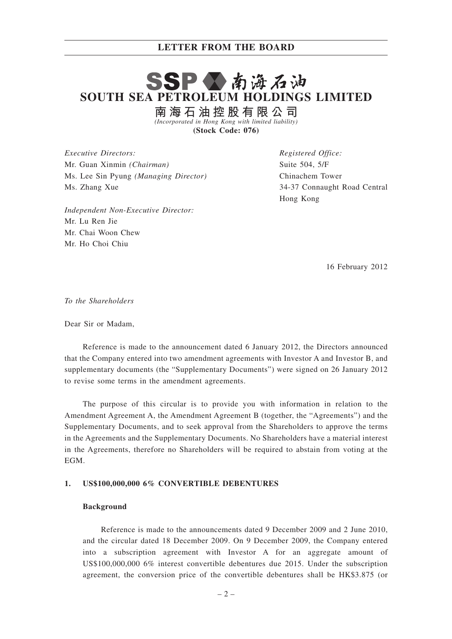# SSPV南海石油 **SOUTH SEA PETROLEUM HOLDINGS LIMITED**

**南 海 石 油 控 股 有 限 公 司** *(Incorporated in Hong Kong with limited liability)*

**(Stock Code: 076)**

*Executive Directors:* Mr. Guan Xinmin *(Chairman)* Ms. Lee Sin Pyung *(Managing Director)* Ms. Zhang Xue

*Registered Office:* Suite 504, 5/F Chinachem Tower 34-37 Connaught Road Central Hong Kong

*Independent Non-Executive Director:* Mr. Lu Ren Jie Mr. Chai Woon Chew Mr. Ho Choi Chiu

16 February 2012

*To the Shareholders*

Dear Sir or Madam,

Reference is made to the announcement dated 6 January 2012, the Directors announced that the Company entered into two amendment agreements with Investor A and Investor B, and supplementary documents (the "Supplementary Documents") were signed on 26 January 2012 to revise some terms in the amendment agreements.

The purpose of this circular is to provide you with information in relation to the Amendment Agreement A, the Amendment Agreement B (together, the "Agreements") and the Supplementary Documents, and to seek approval from the Shareholders to approve the terms in the Agreements and the Supplementary Documents. No Shareholders have a material interest in the Agreements, therefore no Shareholders will be required to abstain from voting at the **EGM** 

#### **1. US\$100,000,000 6% CONVERTIBLE DEBENTURES**

#### **Background**

Reference is made to the announcements dated 9 December 2009 and 2 June 2010, and the circular dated 18 December 2009. On 9 December 2009, the Company entered into a subscription agreement with Investor A for an aggregate amount of US\$100,000,000 6% interest convertible debentures due 2015. Under the subscription agreement, the conversion price of the convertible debentures shall be HK\$3.875 (or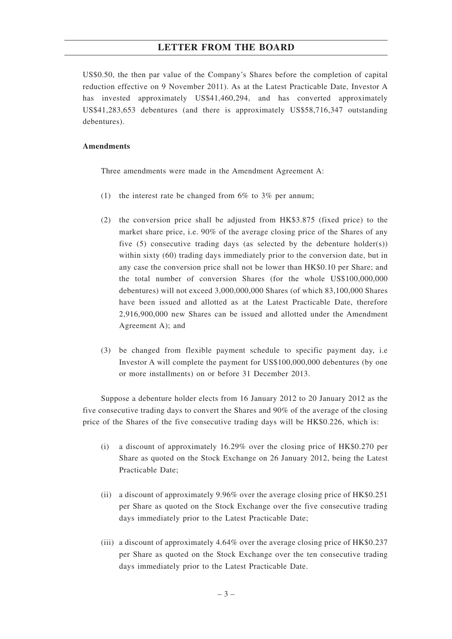US\$0.50, the then par value of the Company's Shares before the completion of capital reduction effective on 9 November 2011). As at the Latest Practicable Date, Investor A has invested approximately US\$41,460,294, and has converted approximately US\$41,283,653 debentures (and there is approximately US\$58,716,347 outstanding debentures).

### **Amendments**

Three amendments were made in the Amendment Agreement A:

- (1) the interest rate be changed from  $6\%$  to  $3\%$  per annum;
- (2) the conversion price shall be adjusted from HK\$3.875 (fixed price) to the market share price, i.e. 90% of the average closing price of the Shares of any five  $(5)$  consecutive trading days (as selected by the debenture holder $(s)$ ) within sixty (60) trading days immediately prior to the conversion date, but in any case the conversion price shall not be lower than HK\$0.10 per Share; and the total number of conversion Shares (for the whole US\$100,000,000 debentures) will not exceed 3,000,000,000 Shares (of which 83,100,000 Shares have been issued and allotted as at the Latest Practicable Date, therefore 2,916,900,000 new Shares can be issued and allotted under the Amendment Agreement A); and
- (3) be changed from flexible payment schedule to specific payment day, i.e Investor A will complete the payment for US\$100,000,000 debentures (by one or more installments) on or before 31 December 2013.

Suppose a debenture holder elects from 16 January 2012 to 20 January 2012 as the five consecutive trading days to convert the Shares and 90% of the average of the closing price of the Shares of the five consecutive trading days will be HK\$0.226, which is:

- (i) a discount of approximately 16.29% over the closing price of HK\$0.270 per Share as quoted on the Stock Exchange on 26 January 2012, being the Latest Practicable Date;
- (ii) a discount of approximately 9.96% over the average closing price of HK\$0.251 per Share as quoted on the Stock Exchange over the five consecutive trading days immediately prior to the Latest Practicable Date;
- (iii) a discount of approximately 4.64% over the average closing price of HK\$0.237 per Share as quoted on the Stock Exchange over the ten consecutive trading days immediately prior to the Latest Practicable Date.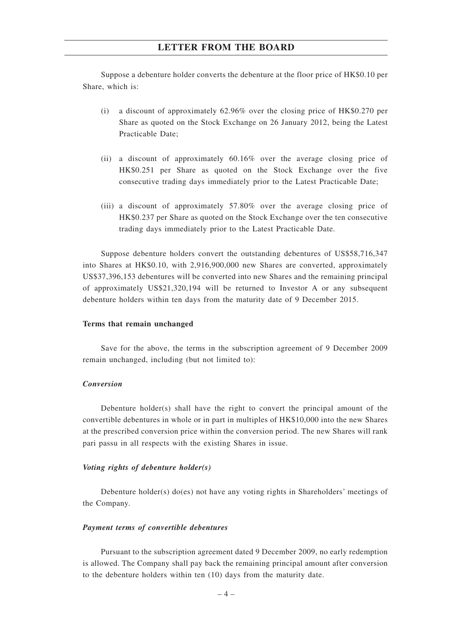Suppose a debenture holder converts the debenture at the floor price of HK\$0.10 per Share, which is:

- (i) a discount of approximately 62.96% over the closing price of HK\$0.270 per Share as quoted on the Stock Exchange on 26 January 2012, being the Latest Practicable Date;
- (ii) a discount of approximately 60.16% over the average closing price of HK\$0.251 per Share as quoted on the Stock Exchange over the five consecutive trading days immediately prior to the Latest Practicable Date;
- (iii) a discount of approximately 57.80% over the average closing price of HK\$0.237 per Share as quoted on the Stock Exchange over the ten consecutive trading days immediately prior to the Latest Practicable Date.

Suppose debenture holders convert the outstanding debentures of US\$58,716,347 into Shares at HK\$0.10, with 2,916,900,000 new Shares are converted, approximately US\$37,396,153 debentures will be converted into new Shares and the remaining principal of approximately US\$21,320,194 will be returned to Investor A or any subsequent debenture holders within ten days from the maturity date of 9 December 2015.

#### **Terms that remain unchanged**

Save for the above, the terms in the subscription agreement of 9 December 2009 remain unchanged, including (but not limited to):

#### *Conversion*

Debenture holder(s) shall have the right to convert the principal amount of the convertible debentures in whole or in part in multiples of HK\$10,000 into the new Shares at the prescribed conversion price within the conversion period. The new Shares will rank pari passu in all respects with the existing Shares in issue.

#### *Voting rights of debenture holder(s)*

Debenture holder(s) do(es) not have any voting rights in Shareholders' meetings of the Company.

#### *Payment terms of convertible debentures*

Pursuant to the subscription agreement dated 9 December 2009, no early redemption is allowed. The Company shall pay back the remaining principal amount after conversion to the debenture holders within ten (10) days from the maturity date.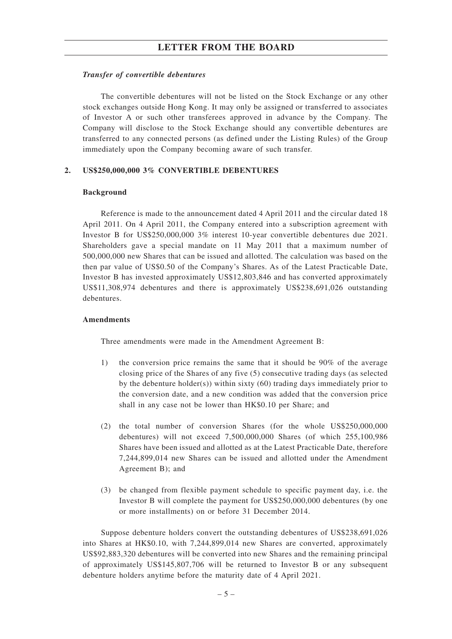#### *Transfer of convertible debentures*

The convertible debentures will not be listed on the Stock Exchange or any other stock exchanges outside Hong Kong. It may only be assigned or transferred to associates of Investor A or such other transferees approved in advance by the Company. The Company will disclose to the Stock Exchange should any convertible debentures are transferred to any connected persons (as defined under the Listing Rules) of the Group immediately upon the Company becoming aware of such transfer.

#### **2. US\$250,000,000 3% CONVERTIBLE DEBENTURES**

#### **Background**

Reference is made to the announcement dated 4 April 2011 and the circular dated 18 April 2011. On 4 April 2011, the Company entered into a subscription agreement with Investor B for US\$250,000,000 3% interest 10-year convertible debentures due 2021. Shareholders gave a special mandate on 11 May 2011 that a maximum number of 500,000,000 new Shares that can be issued and allotted. The calculation was based on the then par value of US\$0.50 of the Company's Shares. As of the Latest Practicable Date, Investor B has invested approximately US\$12,803,846 and has converted approximately US\$11,308,974 debentures and there is approximately US\$238,691,026 outstanding debentures.

#### **Amendments**

Three amendments were made in the Amendment Agreement B:

- 1) the conversion price remains the same that it should be 90% of the average closing price of the Shares of any five (5) consecutive trading days (as selected by the debenture holder(s)) within sixty (60) trading days immediately prior to the conversion date, and a new condition was added that the conversion price shall in any case not be lower than HK\$0.10 per Share; and
- (2) the total number of conversion Shares (for the whole US\$250,000,000 debentures) will not exceed 7,500,000,000 Shares (of which 255,100,986 Shares have been issued and allotted as at the Latest Practicable Date, therefore 7,244,899,014 new Shares can be issued and allotted under the Amendment Agreement B); and
- (3) be changed from flexible payment schedule to specific payment day, i.e. the Investor B will complete the payment for US\$250,000,000 debentures (by one or more installments) on or before 31 December 2014.

Suppose debenture holders convert the outstanding debentures of US\$238,691,026 into Shares at HK\$0.10, with 7,244,899,014 new Shares are converted, approximately US\$92,883,320 debentures will be converted into new Shares and the remaining principal of approximately US\$145,807,706 will be returned to Investor B or any subsequent debenture holders anytime before the maturity date of 4 April 2021.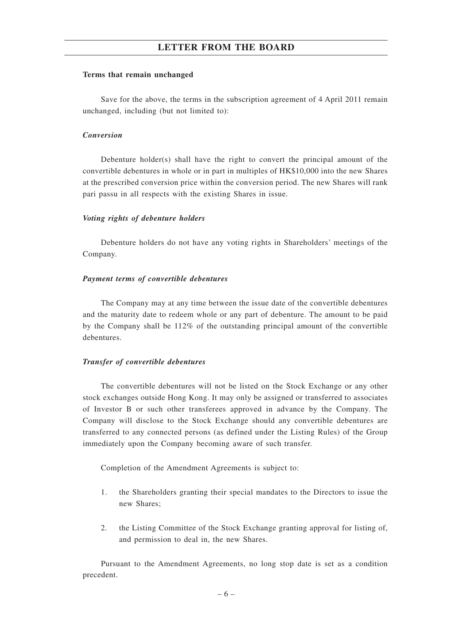#### **Terms that remain unchanged**

Save for the above, the terms in the subscription agreement of 4 April 2011 remain unchanged, including (but not limited to):

### *Conversion*

Debenture holder(s) shall have the right to convert the principal amount of the convertible debentures in whole or in part in multiples of HK\$10,000 into the new Shares at the prescribed conversion price within the conversion period. The new Shares will rank pari passu in all respects with the existing Shares in issue.

#### *Voting rights of debenture holders*

Debenture holders do not have any voting rights in Shareholders' meetings of the Company.

#### *Payment terms of convertible debentures*

The Company may at any time between the issue date of the convertible debentures and the maturity date to redeem whole or any part of debenture. The amount to be paid by the Company shall be 112% of the outstanding principal amount of the convertible debentures.

#### *Transfer of convertible debentures*

The convertible debentures will not be listed on the Stock Exchange or any other stock exchanges outside Hong Kong. It may only be assigned or transferred to associates of Investor B or such other transferees approved in advance by the Company. The Company will disclose to the Stock Exchange should any convertible debentures are transferred to any connected persons (as defined under the Listing Rules) of the Group immediately upon the Company becoming aware of such transfer.

Completion of the Amendment Agreements is subject to:

- 1. the Shareholders granting their special mandates to the Directors to issue the new Shares;
- 2. the Listing Committee of the Stock Exchange granting approval for listing of, and permission to deal in, the new Shares.

Pursuant to the Amendment Agreements, no long stop date is set as a condition precedent.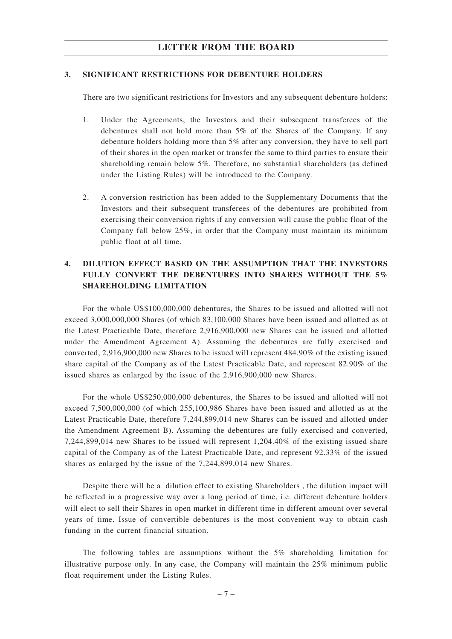#### **3. SIGNIFICANT RESTRICTIONS FOR DEBENTURE HOLDERS**

There are two significant restrictions for Investors and any subsequent debenture holders:

- 1. Under the Agreements, the Investors and their subsequent transferees of the debentures shall not hold more than 5% of the Shares of the Company. If any debenture holders holding more than 5% after any conversion, they have to sell part of their shares in the open market or transfer the same to third parties to ensure their shareholding remain below 5%. Therefore, no substantial shareholders (as defined under the Listing Rules) will be introduced to the Company.
- 2. A conversion restriction has been added to the Supplementary Documents that the Investors and their subsequent transferees of the debentures are prohibited from exercising their conversion rights if any conversion will cause the public float of the Company fall below 25%, in order that the Company must maintain its minimum public float at all time.

# **4. DILUTION EFFECT BASED ON THE ASSUMPTION THAT THE INVESTORS FULLY CONVERT THE DEBENTURES INTO SHARES WITHOUT THE 5% SHAREHOLDING LIMITATION**

For the whole US\$100,000,000 debentures, the Shares to be issued and allotted will not exceed 3,000,000,000 Shares (of which 83,100,000 Shares have been issued and allotted as at the Latest Practicable Date, therefore 2,916,900,000 new Shares can be issued and allotted under the Amendment Agreement A). Assuming the debentures are fully exercised and converted, 2,916,900,000 new Shares to be issued will represent 484.90% of the existing issued share capital of the Company as of the Latest Practicable Date, and represent 82.90% of the issued shares as enlarged by the issue of the 2,916,900,000 new Shares.

For the whole US\$250,000,000 debentures, the Shares to be issued and allotted will not exceed 7,500,000,000 (of which 255,100,986 Shares have been issued and allotted as at the Latest Practicable Date, therefore 7,244,899,014 new Shares can be issued and allotted under the Amendment Agreement B). Assuming the debentures are fully exercised and converted, 7,244,899,014 new Shares to be issued will represent 1,204.40% of the existing issued share capital of the Company as of the Latest Practicable Date, and represent 92.33% of the issued shares as enlarged by the issue of the 7,244,899,014 new Shares.

Despite there will be a dilution effect to existing Shareholders , the dilution impact will be reflected in a progressive way over a long period of time, i.e. different debenture holders will elect to sell their Shares in open market in different time in different amount over several years of time. Issue of convertible debentures is the most convenient way to obtain cash funding in the current financial situation.

The following tables are assumptions without the 5% shareholding limitation for illustrative purpose only. In any case, the Company will maintain the 25% minimum public float requirement under the Listing Rules.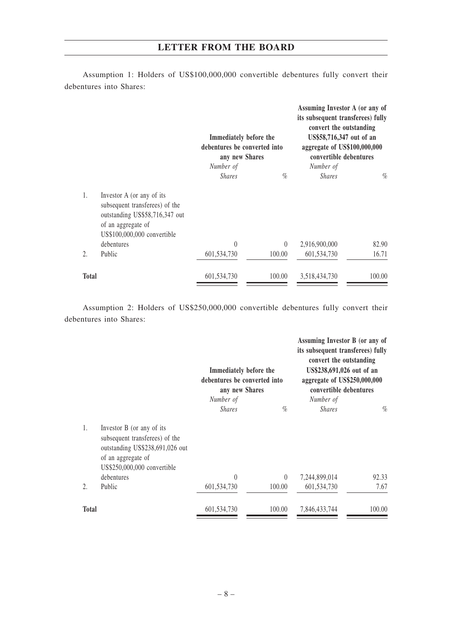Assumption 1: Holders of US\$100,000,000 convertible debentures fully convert their debentures into Shares:

|              |                                                                                                                                                    | Immediately before the<br>debentures be converted into<br>any new Shares<br>Number of |          | Assuming Investor A (or any of<br>its subsequent transferees) fully<br>convert the outstanding<br>US\$58,716,347 out of an<br>aggregate of US\$100,000,000<br>convertible debentures<br>Number of |        |
|--------------|----------------------------------------------------------------------------------------------------------------------------------------------------|---------------------------------------------------------------------------------------|----------|---------------------------------------------------------------------------------------------------------------------------------------------------------------------------------------------------|--------|
|              |                                                                                                                                                    | <b>Shares</b>                                                                         | $\%$     | <b>Shares</b>                                                                                                                                                                                     | $\%$   |
| 1.           | Investor A (or any of its<br>subsequent transferees) of the<br>outstanding US\$58,716,347 out<br>of an aggregate of<br>US\$100,000,000 convertible |                                                                                       |          |                                                                                                                                                                                                   |        |
|              | debentures                                                                                                                                         | $\left( \right)$                                                                      | $\theta$ | 2,916,900,000                                                                                                                                                                                     | 82.90  |
| 2.           | Public                                                                                                                                             | 601,534,730                                                                           | 100.00   | 601,534,730                                                                                                                                                                                       | 16.71  |
| <b>Total</b> |                                                                                                                                                    | 601,534,730                                                                           | 100.00   | 3,518,434,730                                                                                                                                                                                     | 100.00 |

Assumption 2: Holders of US\$250,000,000 convertible debentures fully convert their debentures into Shares:

|                  |                                                                                                                                                     | Immediately before the<br>debentures be converted into<br>any new Shares |          | Assuming Investor B (or any of<br>its subsequent transferees) fully<br>convert the outstanding<br>US\$238,691,026 out of an<br>aggregate of US\$250,000,000<br>convertible debentures |        |
|------------------|-----------------------------------------------------------------------------------------------------------------------------------------------------|--------------------------------------------------------------------------|----------|---------------------------------------------------------------------------------------------------------------------------------------------------------------------------------------|--------|
|                  |                                                                                                                                                     | Number of<br><b>Shares</b>                                               | $\%$     | Number of<br><b>Shares</b>                                                                                                                                                            | $\%$   |
| 1.               | Investor B (or any of its<br>subsequent transferees) of the<br>outstanding US\$238,691,026 out<br>of an aggregate of<br>US\$250,000,000 convertible |                                                                          |          |                                                                                                                                                                                       |        |
|                  | debentures                                                                                                                                          | $\theta$                                                                 | $\theta$ | 7,244,899,014                                                                                                                                                                         | 92.33  |
| $\overline{2}$ . | Public                                                                                                                                              | 601,534,730                                                              | 100.00   | 601,534,730                                                                                                                                                                           | 7.67   |
| <b>Total</b>     |                                                                                                                                                     | 601,534,730                                                              | 100.00   | 7,846,433,744                                                                                                                                                                         | 100.00 |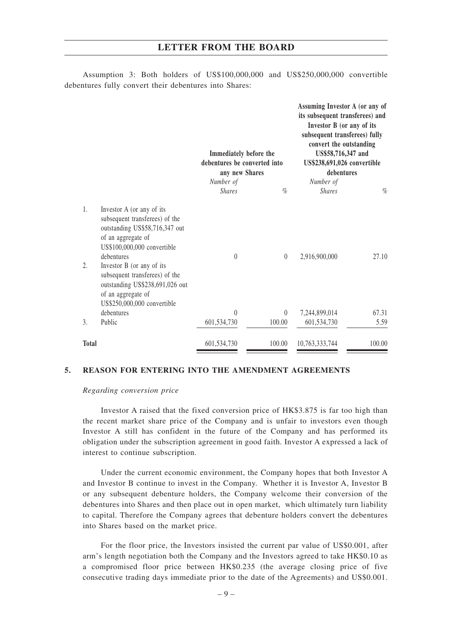|              |                                                                                                                                                                                                                                                                                                                         | Immediately before the<br>debentures be converted into<br>any new Shares |          | Assuming Investor A (or any of<br>its subsequent transferees) and<br>Investor B (or any of its<br>subsequent transferees) fully<br>convert the outstanding<br>US\$58,716,347 and<br>US\$238,691,026 convertible<br>debentures |        |
|--------------|-------------------------------------------------------------------------------------------------------------------------------------------------------------------------------------------------------------------------------------------------------------------------------------------------------------------------|--------------------------------------------------------------------------|----------|-------------------------------------------------------------------------------------------------------------------------------------------------------------------------------------------------------------------------------|--------|
|              |                                                                                                                                                                                                                                                                                                                         | Number of<br><b>Shares</b>                                               | $\%$     | Number of<br><b>Shares</b>                                                                                                                                                                                                    | $\%$   |
| 1.<br>2.     | Investor A (or any of its<br>subsequent transferees) of the<br>outstanding US\$58,716,347 out<br>of an aggregate of<br>US\$100,000,000 convertible<br>debentures<br>Investor B (or any of its<br>subsequent transferees) of the<br>outstanding US\$238,691,026 out<br>of an aggregate of<br>US\$250,000,000 convertible | $\theta$                                                                 | $\theta$ | 2,916,900,000                                                                                                                                                                                                                 | 27.10  |
|              | debentures                                                                                                                                                                                                                                                                                                              | $\theta$                                                                 | $\theta$ | 7,244,899,014                                                                                                                                                                                                                 | 67.31  |
| 3.           | Public                                                                                                                                                                                                                                                                                                                  | 601,534,730                                                              | 100.00   | 601,534,730                                                                                                                                                                                                                   | 5.59   |
| <b>Total</b> |                                                                                                                                                                                                                                                                                                                         | 601,534,730                                                              | 100.00   | 10,763,333,744                                                                                                                                                                                                                | 100.00 |

Assumption 3: Both holders of US\$100,000,000 and US\$250,000,000 convertible debentures fully convert their debentures into Shares:

## **5. REASON FOR ENTERING INTO THE AMENDMENT AGREEMENTS**

*Regarding conversion price*

Investor A raised that the fixed conversion price of HK\$3.875 is far too high than the recent market share price of the Company and is unfair to investors even though Investor A still has confident in the future of the Company and has performed its obligation under the subscription agreement in good faith. Investor A expressed a lack of interest to continue subscription.

Under the current economic environment, the Company hopes that both Investor A and Investor B continue to invest in the Company. Whether it is Investor A, Investor B or any subsequent debenture holders, the Company welcome their conversion of the debentures into Shares and then place out in open market, which ultimately turn liability to capital. Therefore the Company agrees that debenture holders convert the debentures into Shares based on the market price.

For the floor price, the Investors insisted the current par value of US\$0.001, after arm's length negotiation both the Company and the Investors agreed to take HK\$0.10 as a compromised floor price between HK\$0.235 (the average closing price of five consecutive trading days immediate prior to the date of the Agreements) and US\$0.001.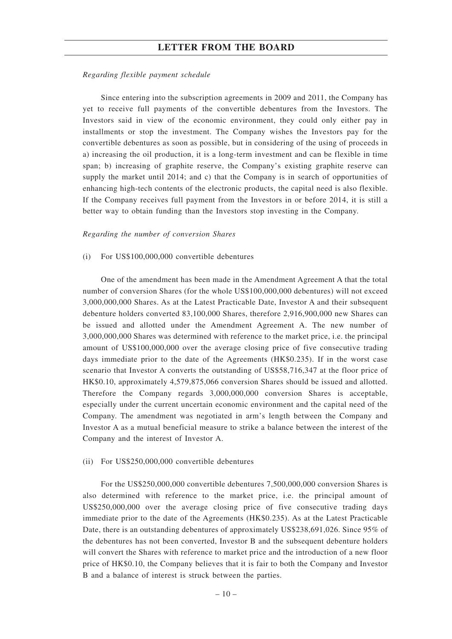#### *Regarding flexible payment schedule*

Since entering into the subscription agreements in 2009 and 2011, the Company has yet to receive full payments of the convertible debentures from the Investors. The Investors said in view of the economic environment, they could only either pay in installments or stop the investment. The Company wishes the Investors pay for the convertible debentures as soon as possible, but in considering of the using of proceeds in a) increasing the oil production, it is a long-term investment and can be flexible in time span; b) increasing of graphite reserve, the Company's existing graphite reserve can supply the market until 2014; and c) that the Company is in search of opportunities of enhancing high-tech contents of the electronic products, the capital need is also flexible. If the Company receives full payment from the Investors in or before 2014, it is still a better way to obtain funding than the Investors stop investing in the Company.

#### *Regarding the number of conversion Shares*

#### (i) For US\$100,000,000 convertible debentures

One of the amendment has been made in the Amendment Agreement A that the total number of conversion Shares (for the whole US\$100,000,000 debentures) will not exceed 3,000,000,000 Shares. As at the Latest Practicable Date, Investor A and their subsequent debenture holders converted 83,100,000 Shares, therefore 2,916,900,000 new Shares can be issued and allotted under the Amendment Agreement A. The new number of 3,000,000,000 Shares was determined with reference to the market price, i.e. the principal amount of US\$100,000,000 over the average closing price of five consecutive trading days immediate prior to the date of the Agreements (HK\$0.235). If in the worst case scenario that Investor A converts the outstanding of US\$58,716,347 at the floor price of HK\$0.10, approximately 4,579,875,066 conversion Shares should be issued and allotted. Therefore the Company regards 3,000,000,000 conversion Shares is acceptable, especially under the current uncertain economic environment and the capital need of the Company. The amendment was negotiated in arm's length between the Company and Investor A as a mutual beneficial measure to strike a balance between the interest of the Company and the interest of Investor A.

#### (ii) For US\$250,000,000 convertible debentures

For the US\$250,000,000 convertible debentures 7,500,000,000 conversion Shares is also determined with reference to the market price, i.e. the principal amount of US\$250,000,000 over the average closing price of five consecutive trading days immediate prior to the date of the Agreements (HK\$0.235). As at the Latest Practicable Date, there is an outstanding debentures of approximately US\$238,691,026. Since 95% of the debentures has not been converted, Investor B and the subsequent debenture holders will convert the Shares with reference to market price and the introduction of a new floor price of HK\$0.10, the Company believes that it is fair to both the Company and Investor B and a balance of interest is struck between the parties.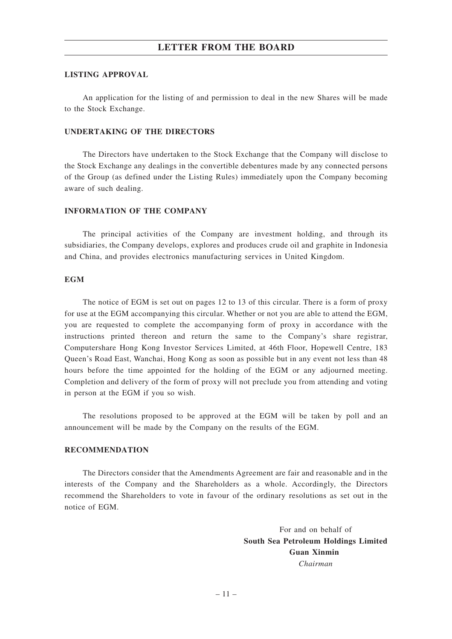## **LISTING APPROVAL**

An application for the listing of and permission to deal in the new Shares will be made to the Stock Exchange.

## **UNDERTAKING OF THE DIRECTORS**

The Directors have undertaken to the Stock Exchange that the Company will disclose to the Stock Exchange any dealings in the convertible debentures made by any connected persons of the Group (as defined under the Listing Rules) immediately upon the Company becoming aware of such dealing.

## **INFORMATION OF THE COMPANY**

The principal activities of the Company are investment holding, and through its subsidiaries, the Company develops, explores and produces crude oil and graphite in Indonesia and China, and provides electronics manufacturing services in United Kingdom.

### **EGM**

The notice of EGM is set out on pages 12 to 13 of this circular. There is a form of proxy for use at the EGM accompanying this circular. Whether or not you are able to attend the EGM, you are requested to complete the accompanying form of proxy in accordance with the instructions printed thereon and return the same to the Company's share registrar, Computershare Hong Kong Investor Services Limited, at 46th Floor, Hopewell Centre, 183 Queen's Road East, Wanchai, Hong Kong as soon as possible but in any event not less than 48 hours before the time appointed for the holding of the EGM or any adjourned meeting. Completion and delivery of the form of proxy will not preclude you from attending and voting in person at the EGM if you so wish.

The resolutions proposed to be approved at the EGM will be taken by poll and an announcement will be made by the Company on the results of the EGM.

## **RECOMMENDATION**

The Directors consider that the Amendments Agreement are fair and reasonable and in the interests of the Company and the Shareholders as a whole. Accordingly, the Directors recommend the Shareholders to vote in favour of the ordinary resolutions as set out in the notice of EGM.

> For and on behalf of **South Sea Petroleum Holdings Limited Guan Xinmin** *Chairman*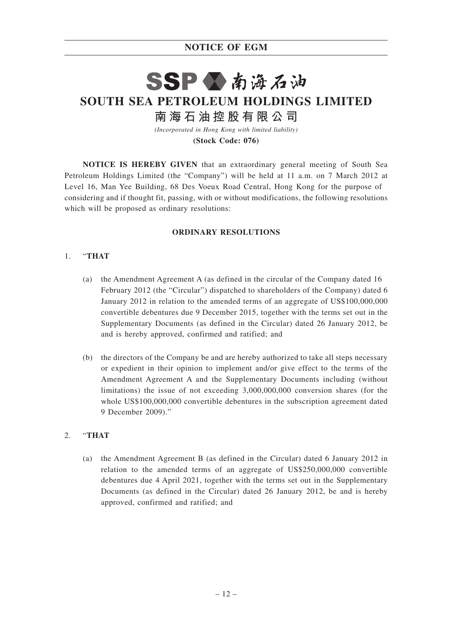# **NOTICE OF EGM**

# SSPV南海石油 **SOUTH SEA PETROLEUM HOLDINGS LIMITED 南 海 石 油 控 股 有 限 公 司**

*(Incorporated in Hong Kong with limited liability)* **(Stock Code: 076)**

**NOTICE IS HEREBY GIVEN** that an extraordinary general meeting of South Sea Petroleum Holdings Limited (the "Company") will be held at 11 a.m. on 7 March 2012 at Level 16, Man Yee Building, 68 Des Voeux Road Central, Hong Kong for the purpose of considering and if thought fit, passing, with or without modifications, the following resolutions which will be proposed as ordinary resolutions:

## **ORDINARY RESOLUTIONS**

## 1. "**THAT**

- (a) the Amendment Agreement A (as defined in the circular of the Company dated 16 February 2012 (the "Circular") dispatched to shareholders of the Company) dated 6 January 2012 in relation to the amended terms of an aggregate of US\$100,000,000 convertible debentures due 9 December 2015, together with the terms set out in the Supplementary Documents (as defined in the Circular) dated 26 January 2012, be and is hereby approved, confirmed and ratified; and
- (b) the directors of the Company be and are hereby authorized to take all steps necessary or expedient in their opinion to implement and/or give effect to the terms of the Amendment Agreement A and the Supplementary Documents including (without limitations) the issue of not exceeding 3,000,000,000 conversion shares (for the whole US\$100,000,000 convertible debentures in the subscription agreement dated 9 December 2009)."

## 2. "**THAT**

(a) the Amendment Agreement B (as defined in the Circular) dated 6 January 2012 in relation to the amended terms of an aggregate of US\$250,000,000 convertible debentures due 4 April 2021, together with the terms set out in the Supplementary Documents (as defined in the Circular) dated 26 January 2012, be and is hereby approved, confirmed and ratified; and